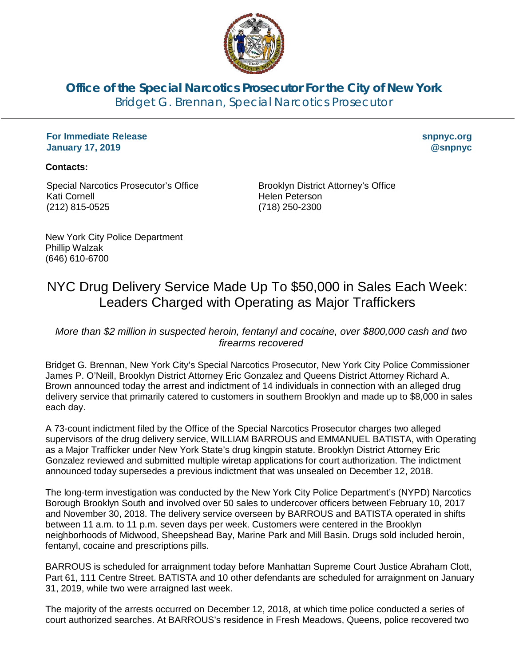

**Office of the Special Narcotics Prosecutor For the City of New York** Bridget G. Brennan, Special Narcotics Prosecutor

## **For Immediate Release January 17, 2019**

**snpnyc.org @snpnyc**

## **Contacts:**

Special Narcotics Prosecutor's Office Kati Cornell (212) 815-0525

Brooklyn District Attorney's Office Helen Peterson (718) 250-2300

New York City Police Department Phillip Walzak (646) 610-6700

## NYC Drug Delivery Service Made Up To \$50,000 in Sales Each Week: Leaders Charged with Operating as Major Traffickers

*More than \$2 million in suspected heroin, fentanyl and cocaine, over \$800,000 cash and two firearms recovered*

Bridget G. Brennan, New York City's Special Narcotics Prosecutor, New York City Police Commissioner James P. O'Neill, Brooklyn District Attorney Eric Gonzalez and Queens District Attorney Richard A. Brown announced today the arrest and indictment of 14 individuals in connection with an alleged drug delivery service that primarily catered to customers in southern Brooklyn and made up to \$8,000 in sales each day.

A 73-count indictment filed by the Office of the Special Narcotics Prosecutor charges two alleged supervisors of the drug delivery service, WILLIAM BARROUS and EMMANUEL BATISTA, with Operating as a Major Trafficker under New York State's drug kingpin statute. Brooklyn District Attorney Eric Gonzalez reviewed and submitted multiple wiretap applications for court authorization. The indictment announced today supersedes a previous indictment that was unsealed on December 12, 2018.

The long-term investigation was conducted by the New York City Police Department's (NYPD) Narcotics Borough Brooklyn South and involved over 50 sales to undercover officers between February 10, 2017 and November 30, 2018. The delivery service overseen by BARROUS and BATISTA operated in shifts between 11 a.m. to 11 p.m. seven days per week. Customers were centered in the Brooklyn neighborhoods of Midwood, Sheepshead Bay, Marine Park and Mill Basin. Drugs sold included heroin, fentanyl, cocaine and prescriptions pills.

BARROUS is scheduled for arraignment today before Manhattan Supreme Court Justice Abraham Clott, Part 61, 111 Centre Street. BATISTA and 10 other defendants are scheduled for arraignment on January 31, 2019, while two were arraigned last week.

The majority of the arrests occurred on December 12, 2018, at which time police conducted a series of court authorized searches. At BARROUS's residence in Fresh Meadows, Queens, police recovered two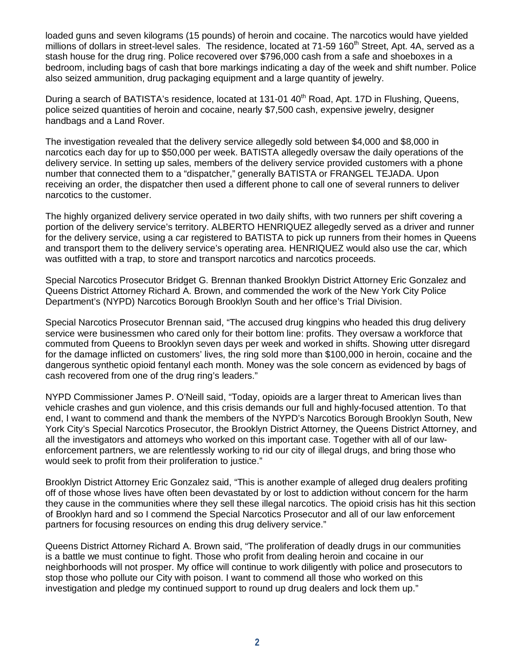loaded guns and seven kilograms (15 pounds) of heroin and cocaine. The narcotics would have yielded millions of dollars in street-level sales. The residence, located at  $71-59$  160<sup>th</sup> Street, Apt. 4A, served as a stash house for the drug ring. Police recovered over \$796,000 cash from a safe and shoeboxes in a bedroom, including bags of cash that bore markings indicating a day of the week and shift number. Police also seized ammunition, drug packaging equipment and a large quantity of jewelry.

During a search of BATISTA's residence, located at 131-01 40<sup>th</sup> Road, Apt. 17D in Flushing, Queens, police seized quantities of heroin and cocaine, nearly \$7,500 cash, expensive jewelry, designer handbags and a Land Rover.

The investigation revealed that the delivery service allegedly sold between \$4,000 and \$8,000 in narcotics each day for up to \$50,000 per week. BATISTA allegedly oversaw the daily operations of the delivery service. In setting up sales, members of the delivery service provided customers with a phone number that connected them to a "dispatcher," generally BATISTA or FRANGEL TEJADA. Upon receiving an order, the dispatcher then used a different phone to call one of several runners to deliver narcotics to the customer.

The highly organized delivery service operated in two daily shifts, with two runners per shift covering a portion of the delivery service's territory. ALBERTO HENRIQUEZ allegedly served as a driver and runner for the delivery service, using a car registered to BATISTA to pick up runners from their homes in Queens and transport them to the delivery service's operating area. HENRIQUEZ would also use the car, which was outfitted with a trap, to store and transport narcotics and narcotics proceeds.

Special Narcotics Prosecutor Bridget G. Brennan thanked Brooklyn District Attorney Eric Gonzalez and Queens District Attorney Richard A. Brown, and commended the work of the New York City Police Department's (NYPD) Narcotics Borough Brooklyn South and her office's Trial Division.

Special Narcotics Prosecutor Brennan said, "The accused drug kingpins who headed this drug delivery service were businessmen who cared only for their bottom line: profits. They oversaw a workforce that commuted from Queens to Brooklyn seven days per week and worked in shifts. Showing utter disregard for the damage inflicted on customers' lives, the ring sold more than \$100,000 in heroin, cocaine and the dangerous synthetic opioid fentanyl each month. Money was the sole concern as evidenced by bags of cash recovered from one of the drug ring's leaders."

NYPD Commissioner James P. O'Neill said, "Today, opioids are a larger threat to American lives than vehicle crashes and gun violence, and this crisis demands our full and highly-focused attention. To that end, I want to commend and thank the members of the NYPD's Narcotics Borough Brooklyn South, New York City's Special Narcotics Prosecutor, the Brooklyn District Attorney, the Queens District Attorney, and all the investigators and attorneys who worked on this important case. Together with all of our lawenforcement partners, we are relentlessly working to rid our city of illegal drugs, and bring those who would seek to profit from their proliferation to justice."

Brooklyn District Attorney Eric Gonzalez said, "This is another example of alleged drug dealers profiting off of those whose lives have often been devastated by or lost to addiction without concern for the harm they cause in the communities where they sell these illegal narcotics. The opioid crisis has hit this section of Brooklyn hard and so I commend the Special Narcotics Prosecutor and all of our law enforcement partners for focusing resources on ending this drug delivery service."

Queens District Attorney Richard A. Brown said, "The proliferation of deadly drugs in our communities is a battle we must continue to fight. Those who profit from dealing heroin and cocaine in our neighborhoods will not prosper. My office will continue to work diligently with police and prosecutors to stop those who pollute our City with poison. I want to commend all those who worked on this investigation and pledge my continued support to round up drug dealers and lock them up."